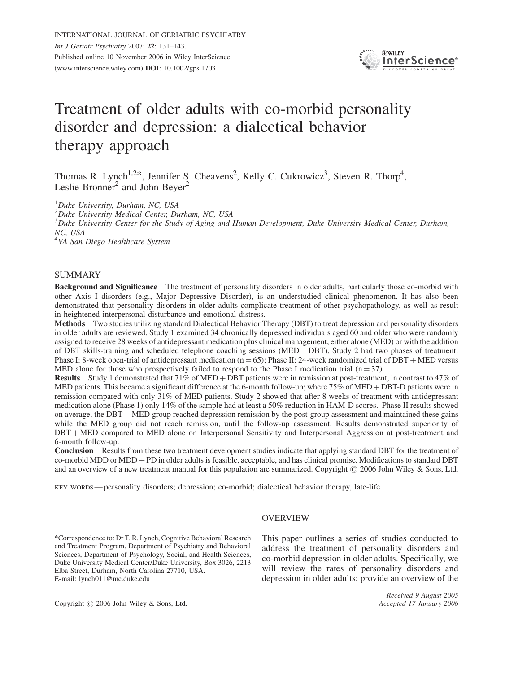

# Treatment of older adults with co-morbid personality disorder and depression: a dialectical behavior therapy approach

Thomas R. Lynch<sup>1,2\*</sup>, Jennifer S. Cheavens<sup>2</sup>, Kelly C. Cukrowicz<sup>3</sup>, Steven R. Thorp<sup>4</sup>, Leslie Bronner<sup>2</sup> and John Beyer<sup>2</sup>

<sup>1</sup>Duke University, Durham, NC, USA

 $^{2}$ Duke University Medical Center, Durham, NC, USA

 $3$ Duke University Center for the Study of Aging and Human Development, Duke University Medical Center, Durham, NC, USA

<sup>4</sup>VA San Diego Healthcare System

#### SUMMARY

Background and Significance The treatment of personality disorders in older adults, particularly those co-morbid with other Axis I disorders (e.g., Major Depressive Disorder), is an understudied clinical phenomenon. It has also been demonstrated that personality disorders in older adults complicate treatment of other psychopathology, as well as result in heightened interpersonal disturbance and emotional distress.

Methods Two studies utilizing standard Dialectical Behavior Therapy (DBT) to treat depression and personality disorders in older adults are reviewed. Study 1 examined 34 chronically depressed individuals aged 60 and older who were randomly assigned to receive 28 weeks of antidepressant medication plus clinical management, either alone (MED) or with the addition of DBT skills-training and scheduled telephone coaching sessions (MED  $+$  DBT). Study 2 had two phases of treatment: Phase I: 8-week open-trial of antidepressant medication ( $n = 65$ ); Phase II: 24-week randomized trial of DBT + MED versus MED alone for those who prospectively failed to respond to the Phase I medication trial  $(n = 37)$ .

**Results** Study 1 demonstrated that 71% of MED + DBT patients were in remission at post-treatment, in contrast to 47% of MED patients. This became a significant difference at the 6-month follow-up; where  $75\%$  of MED + DBT-D patients were in remission compared with only 31% of MED patients. Study 2 showed that after 8 weeks of treatment with antidepressant medication alone (Phase 1) only 14% of the sample had at least a 50% reduction in HAM-D scores. Phase II results showed on average, the  $DBT + MED$  group reached depression remission by the post-group assessment and maintained these gains while the MED group did not reach remission, until the follow-up assessment. Results demonstrated superiority of DBT + MED compared to MED alone on Interpersonal Sensitivity and Interpersonal Aggression at post-treatment and 6-month follow-up.

Conclusion Results from these two treatment development studies indicate that applying standard DBT for the treatment of co-morbid MDD or MDD + PD in older adults is feasible, acceptable, and has clinical promise. Modifications to standard DBT and an overview of a new treatment manual for this population are summarized. Copyright  $\odot$  2006 John Wiley & Sons, Ltd.

key words — personality disorders; depression; co-morbid; dialectical behavior therapy, late-life

#### **OVERVIEW**

This paper outlines a series of studies conducted to address the treatment of personality disorders and co-morbid depression in older adults. Specifically, we will review the rates of personality disorders and depression in older adults; provide an overview of the

<sup>\*</sup>Correspondence to: Dr T. R. Lynch, Cognitive Behavioral Research and Treatment Program, Department of Psychiatry and Behavioral Sciences, Department of Psychology, Social, and Health Sciences, Duke University Medical Center/Duke University, Box 3026, 2213 Elba Street, Durham, North Carolina 27710, USA. E-mail: lynch011@mc.duke.edu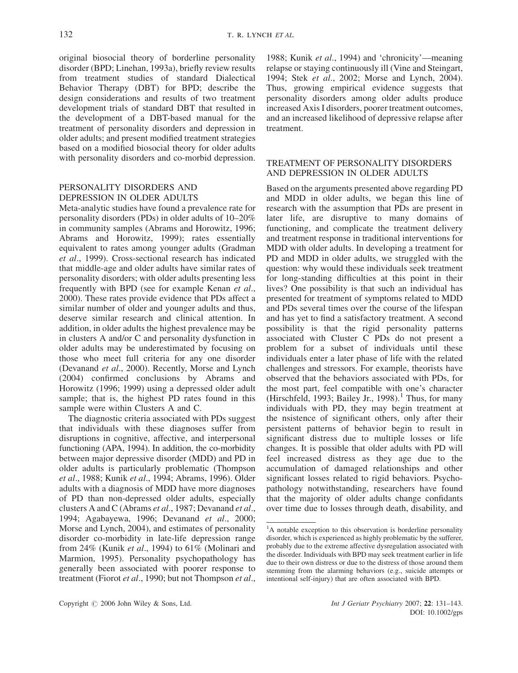original biosocial theory of borderline personality disorder (BPD; Linehan, 1993a), briefly review results from treatment studies of standard Dialectical Behavior Therapy (DBT) for BPD; describe the design considerations and results of two treatment development trials of standard DBT that resulted in the development of a DBT-based manual for the treatment of personality disorders and depression in older adults; and present modified treatment strategies based on a modified biosocial theory for older adults with personality disorders and co-morbid depression.

# PERSONALITY DISORDERS AND DEPRESSION IN OLDER ADULTS

Meta-analytic studies have found a prevalence rate for personality disorders (PDs) in older adults of 10–20% in community samples (Abrams and Horowitz, 1996; Abrams and Horowitz, 1999); rates essentially equivalent to rates among younger adults (Gradman et al., 1999). Cross-sectional research has indicated that middle-age and older adults have similar rates of personality disorders; with older adults presenting less frequently with BPD (see for example Kenan et al., 2000). These rates provide evidence that PDs affect a similar number of older and younger adults and thus, deserve similar research and clinical attention. In addition, in older adults the highest prevalence may be in clusters A and/or C and personality dysfunction in older adults may be underestimated by focusing on those who meet full criteria for any one disorder (Devanand et al., 2000). Recently, Morse and Lynch (2004) confirmed conclusions by Abrams and Horowitz (1996; 1999) using a depressed older adult sample; that is, the highest PD rates found in this sample were within Clusters A and C.

The diagnostic criteria associated with PDs suggest that individuals with these diagnoses suffer from disruptions in cognitive, affective, and interpersonal functioning (APA, 1994). In addition, the co-morbidity between major depressive disorder (MDD) and PD in older adults is particularly problematic (Thompson et al., 1988; Kunik et al., 1994; Abrams, 1996). Older adults with a diagnosis of MDD have more diagnoses of PD than non-depressed older adults, especially clusters A and C (Abrams et al., 1987; Devanand et al., 1994; Agabayewa, 1996; Devanand et al., 2000; Morse and Lynch, 2004), and estimates of personality disorder co-morbidity in late-life depression range from 24% (Kunik et al., 1994) to 61% (Molinari and Marmion, 1995). Personality psychopathology has generally been associated with poorer response to treatment (Fiorot et al., 1990; but not Thompson et al.,

1988; Kunik *et al.*, 1994) and 'chronicity'—meaning relapse or staying continuously ill (Vine and Steingart, 1994; Stek et al., 2002; Morse and Lynch, 2004). Thus, growing empirical evidence suggests that personality disorders among older adults produce increased Axis I disorders, poorer treatment outcomes, and an increased likelihood of depressive relapse after treatment.

#### TREATMENT OF PERSONALITY DISORDERS AND DEPRESSION IN OLDER ADULTS

Based on the arguments presented above regarding PD and MDD in older adults, we began this line of research with the assumption that PDs are present in later life, are disruptive to many domains of functioning, and complicate the treatment delivery and treatment response in traditional interventions for MDD with older adults. In developing a treatment for PD and MDD in older adults, we struggled with the question: why would these individuals seek treatment for long-standing difficulties at this point in their lives? One possibility is that such an individual has presented for treatment of symptoms related to MDD and PDs several times over the course of the lifespan and has yet to find a satisfactory treatment. A second possibility is that the rigid personality patterns associated with Cluster C PDs do not present a problem for a subset of individuals until these individuals enter a later phase of life with the related challenges and stressors. For example, theorists have observed that the behaviors associated with PDs, for the most part, feel compatible with one's character (Hirschfeld, 1993; Bailey Jr., 1998).<sup>1</sup> Thus, for many individuals with PD, they may begin treatment at the nsistence of significant others, only after their persistent patterns of behavior begin to result in significant distress due to multiple losses or life changes. It is possible that older adults with PD will feel increased distress as they age due to the accumulation of damaged relationships and other significant losses related to rigid behaviors. Psychopathology notwithstanding, researchers have found that the majority of older adults change confidants over time due to losses through death, disability, and

<sup>&</sup>lt;sup>1</sup>A notable exception to this observation is borderline personality disorder, which is experienced as highly problematic by the sufferer, probably due to the extreme affective dysregulation associated with the disorder. Individuals with BPD may seek treatment earlier in life due to their own distress or due to the distress of those around them stemming from the alarming behaviors (e.g., suicide attempts or intentional self-injury) that are often associated with BPD.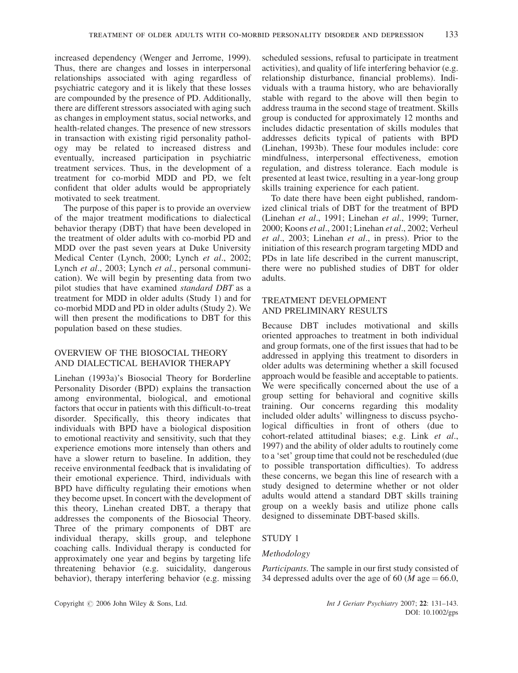increased dependency (Wenger and Jerrome, 1999). Thus, there are changes and losses in interpersonal relationships associated with aging regardless of psychiatric category and it is likely that these losses are compounded by the presence of PD. Additionally, there are different stressors associated with aging such as changes in employment status, social networks, and health-related changes. The presence of new stressors in transaction with existing rigid personality pathology may be related to increased distress and eventually, increased participation in psychiatric treatment services. Thus, in the development of a treatment for co-morbid MDD and PD, we felt confident that older adults would be appropriately motivated to seek treatment.

The purpose of this paper is to provide an overview of the major treatment modifications to dialectical behavior therapy (DBT) that have been developed in the treatment of older adults with co-morbid PD and MDD over the past seven years at Duke University Medical Center (Lynch, 2000; Lynch et al., 2002; Lynch et al., 2003; Lynch et al., personal communication). We will begin by presenting data from two pilot studies that have examined standard DBT as a treatment for MDD in older adults (Study 1) and for co-morbid MDD and PD in older adults (Study 2). We will then present the modifications to DBT for this population based on these studies.

## OVERVIEW OF THE BIOSOCIAL THEORY AND DIALECTICAL BEHAVIOR THERAPY

Linehan (1993a)'s Biosocial Theory for Borderline Personality Disorder (BPD) explains the transaction among environmental, biological, and emotional factors that occur in patients with this difficult-to-treat disorder. Specifically, this theory indicates that individuals with BPD have a biological disposition to emotional reactivity and sensitivity, such that they experience emotions more intensely than others and have a slower return to baseline. In addition, they receive environmental feedback that is invalidating of their emotional experience. Third, individuals with BPD have difficulty regulating their emotions when they become upset. In concert with the development of this theory, Linehan created DBT, a therapy that addresses the components of the Biosocial Theory. Three of the primary components of DBT are individual therapy, skills group, and telephone coaching calls. Individual therapy is conducted for approximately one year and begins by targeting life threatening behavior (e.g. suicidality, dangerous behavior), therapy interfering behavior (e.g. missing scheduled sessions, refusal to participate in treatment activities), and quality of life interfering behavior (e.g. relationship disturbance, financial problems). Individuals with a trauma history, who are behaviorally stable with regard to the above will then begin to address trauma in the second stage of treatment. Skills group is conducted for approximately 12 months and includes didactic presentation of skills modules that addresses deficits typical of patients with BPD (Linehan, 1993b). These four modules include: core mindfulness, interpersonal effectiveness, emotion regulation, and distress tolerance. Each module is presented at least twice, resulting in a year-long group skills training experience for each patient.

To date there have been eight published, randomized clinical trials of DBT for the treatment of BPD (Linehan et al., 1991; Linehan et al., 1999; Turner, 2000; Koons et al., 2001; Linehan et al., 2002; Verheul et al., 2003; Linehan et al., in press). Prior to the initiation of this research program targeting MDD and PDs in late life described in the current manuscript, there were no published studies of DBT for older adults.

## TREATMENT DEVELOPMENT AND PRELIMINARY RESULTS

Because DBT includes motivational and skills oriented approaches to treatment in both individual and group formats, one of the first issues that had to be addressed in applying this treatment to disorders in older adults was determining whether a skill focused approach would be feasible and acceptable to patients. We were specifically concerned about the use of a group setting for behavioral and cognitive skills training. Our concerns regarding this modality included older adults' willingness to discuss psychological difficulties in front of others (due to cohort-related attitudinal biases; e.g. Link et al., 1997) and the ability of older adults to routinely come to a 'set' group time that could not be rescheduled (due to possible transportation difficulties). To address these concerns, we began this line of research with a study designed to determine whether or not older adults would attend a standard DBT skills training group on a weekly basis and utilize phone calls designed to disseminate DBT-based skills.

## STUDY 1

## Methodology

Participants. The sample in our first study consisted of 34 depressed adults over the age of 60 ( $M$  age = 66.0,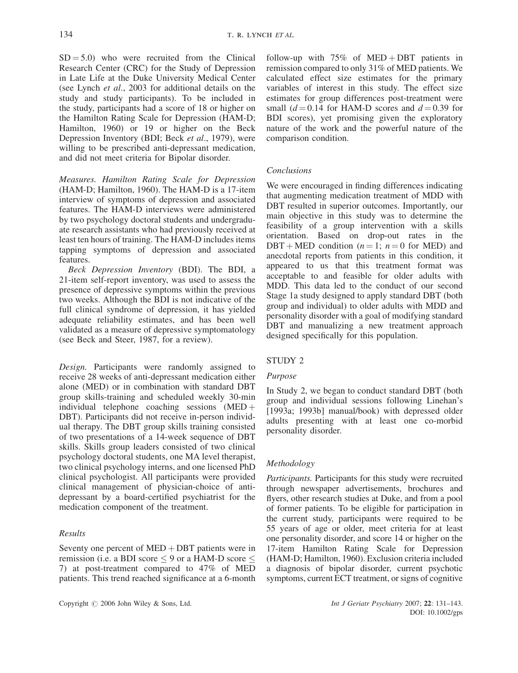$SD = 5.0$ ) who were recruited from the Clinical Research Center (CRC) for the Study of Depression in Late Life at the Duke University Medical Center (see Lynch et al., 2003 for additional details on the study and study participants). To be included in the study, participants had a score of 18 or higher on the Hamilton Rating Scale for Depression (HAM-D; Hamilton, 1960) or 19 or higher on the Beck Depression Inventory (BDI; Beck et al., 1979), were willing to be prescribed anti-depressant medication, and did not meet criteria for Bipolar disorder.

Measures. Hamilton Rating Scale for Depression (HAM-D; Hamilton, 1960). The HAM-D is a 17-item interview of symptoms of depression and associated features. The HAM-D interviews were administered by two psychology doctoral students and undergraduate research assistants who had previously received at least ten hours of training. The HAM-D includes items tapping symptoms of depression and associated features.

Beck Depression Inventory (BDI). The BDI, a 21-item self-report inventory, was used to assess the presence of depressive symptoms within the previous two weeks. Although the BDI is not indicative of the full clinical syndrome of depression, it has yielded adequate reliability estimates, and has been well validated as a measure of depressive symptomatology (see Beck and Steer, 1987, for a review).

Design. Participants were randomly assigned to receive 28 weeks of anti-depressant medication either alone (MED) or in combination with standard DBT group skills-training and scheduled weekly 30-min individual telephone coaching sessions  $(MED +$ DBT). Participants did not receive in-person individual therapy. The DBT group skills training consisted of two presentations of a 14-week sequence of DBT skills. Skills group leaders consisted of two clinical psychology doctoral students, one MA level therapist, two clinical psychology interns, and one licensed PhD clinical psychologist. All participants were provided clinical management of physician-choice of antidepressant by a board-certified psychiatrist for the medication component of the treatment.

#### Results

Seventy one percent of  $MED + DBT$  patients were in remission (i.e. a BDI score  $\leq$  9 or a HAM-D score  $\leq$ 7) at post-treatment compared to 47% of MED patients. This trend reached significance at a 6-month

follow-up with  $75\%$  of MED + DBT patients in remission compared to only 31% of MED patients. We calculated effect size estimates for the primary variables of interest in this study. The effect size estimates for group differences post-treatment were small ( $d = 0.14$  for HAM-D scores and  $d = 0.39$  for BDI scores), yet promising given the exploratory nature of the work and the powerful nature of the comparison condition.

#### Conclusions

We were encouraged in finding differences indicating that augmenting medication treatment of MDD with DBT resulted in superior outcomes. Importantly, our main objective in this study was to determine the feasibility of a group intervention with a skills orientation. Based on drop-out rates in the DBT + MED condition  $(n = 1; n = 0$  for MED) and anecdotal reports from patients in this condition, it appeared to us that this treatment format was acceptable to and feasible for older adults with MDD. This data led to the conduct of our second Stage 1a study designed to apply standard DBT (both group and individual) to older adults with MDD and personality disorder with a goal of modifying standard DBT and manualizing a new treatment approach designed specifically for this population.

## STUDY 2

#### Purpose

In Study 2, we began to conduct standard DBT (both group and individual sessions following Linehan's [1993a; 1993b] manual/book) with depressed older adults presenting with at least one co-morbid personality disorder.

#### Methodology

Participants. Participants for this study were recruited through newspaper advertisements, brochures and flyers, other research studies at Duke, and from a pool of former patients. To be eligible for participation in the current study, participants were required to be 55 years of age or older, meet criteria for at least one personality disorder, and score 14 or higher on the 17-item Hamilton Rating Scale for Depression (HAM-D; Hamilton, 1960). Exclusion criteria included a diagnosis of bipolar disorder, current psychotic symptoms, current ECT treatment, or signs of cognitive

Copyright  $\odot$  2006 John Wiley & Sons, Ltd. Int J Geriatr Psychiatry 2007; 22: 131–143. DOI: 10.1002/gps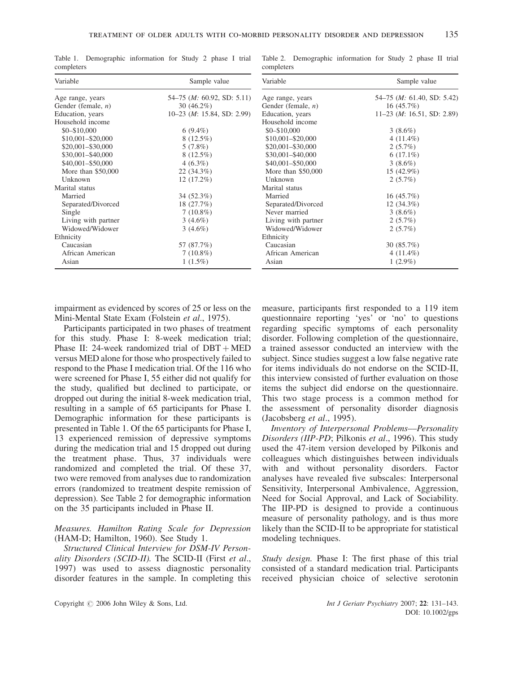| Variable                                                  | Sample value                          | Variable              | Sample value                          |  |
|-----------------------------------------------------------|---------------------------------------|-----------------------|---------------------------------------|--|
| $54-75$ ( <i>M</i> : 60.92, SD: 5.11)<br>Age range, years |                                       | Age range, years      | 54–75 $(M: 61.40, SD: 5.42)$          |  |
| Gender (female, $n$ )                                     | $30(46.2\%)$                          | Gender (female, $n$ ) | 16(45.7%)                             |  |
| Education, years                                          | $10-23$ ( <i>M</i> : 15.84, SD: 2.99) | Education, years      | $11-23$ ( <i>M</i> : 16.51, SD: 2.89) |  |
| Household income                                          |                                       | Household income      |                                       |  |
| $$0 - $10,000$                                            | $6(9.4\%)$                            | $$0 - $10,000$        | $3(8.6\%)$                            |  |
| \$10,001-\$20,000                                         | $8(12.5\%)$                           | \$10,001-\$20,000     | $4(11.4\%)$                           |  |
| \$20,001-\$30,000                                         | $5(7.8\%)$                            | \$20,001-\$30,000     | $2(5.7\%)$                            |  |
| \$30,001-\$40,000                                         | $8(12.5\%)$                           | \$30,001-\$40,000     | $6(17.1\%)$                           |  |
| \$40,001-\$50,000                                         | $4(6.3\%)$                            | \$40,001-\$50,000     | $3(8.6\%)$                            |  |
| More than \$50,000                                        | $22(34.3\%)$                          | More than \$50,000    | $15(42.9\%)$                          |  |
| Unknown                                                   | $12(17.2\%)$                          | Unknown               | 2(5.7%)                               |  |
| Marital status                                            |                                       | Marital status        |                                       |  |
| Married                                                   | 34 (52.3%)                            | Married               | 16(45.7%)                             |  |
| Separated/Divorced                                        | 18 (27.7%)                            | Separated/Divorced    | $12(34.3\%)$                          |  |
| Single                                                    | $7(10.8\%)$                           | Never married         | $3(8.6\%)$                            |  |
| Living with partner                                       | $3(4.6\%)$                            | Living with partner   | 2(5.7%)                               |  |
| Widowed/Widower                                           | $3(4.6\%)$                            | Widowed/Widower       | 2(5.7%)                               |  |
| Ethnicity                                                 |                                       | Ethnicity             |                                       |  |
| Caucasian                                                 | 57 (87.7%)                            | Caucasian             | 30 (85.7%)                            |  |
| African American                                          | $7(10.8\%)$                           | African American      | $4(11.4\%)$                           |  |
| Asian<br>$1(1.5\%)$                                       |                                       | Asian                 | $1(2.9\%)$                            |  |

Table 1. Demographic information for Study 2 phase I trial completers

Table 2. Demographic information for Study 2 phase II trial completers

impairment as evidenced by scores of 25 or less on the Mini-Mental State Exam (Folstein et al., 1975).

Participants participated in two phases of treatment for this study. Phase I: 8-week medication trial; Phase II: 24-week randomized trial of  $DBT + MED$ versus MED alone for those who prospectively failed to respond to the Phase I medication trial. Of the 116 who were screened for Phase I, 55 either did not qualify for the study, qualified but declined to participate, or dropped out during the initial 8-week medication trial, resulting in a sample of 65 participants for Phase I. Demographic information for these participants is presented in Table 1. Of the 65 participants for Phase I, 13 experienced remission of depressive symptoms during the medication trial and 15 dropped out during the treatment phase. Thus, 37 individuals were randomized and completed the trial. Of these 37, two were removed from analyses due to randomization errors (randomized to treatment despite remission of depression). See Table 2 for demographic information on the 35 participants included in Phase II.

#### Measures. Hamilton Rating Scale for Depression (HAM-D; Hamilton, 1960). See Study 1.

Structured Clinical Interview for DSM-IV Personality Disorders (SCID-II). The SCID-II (First et al., 1997) was used to assess diagnostic personality disorder features in the sample. In completing this measure, participants first responded to a 119 item questionnaire reporting 'yes' or 'no' to questions regarding specific symptoms of each personality disorder. Following completion of the questionnaire, a trained assessor conducted an interview with the subject. Since studies suggest a low false negative rate for items individuals do not endorse on the SCID-II, this interview consisted of further evaluation on those items the subject did endorse on the questionnaire. This two stage process is a common method for the assessment of personality disorder diagnosis (Jacobsberg et al., 1995).

Inventory of Interpersonal Problems––Personality Disorders (IIP-PD; Pilkonis et al., 1996). This study used the 47-item version developed by Pilkonis and colleagues which distinguishes between individuals with and without personality disorders. Factor analyses have revealed five subscales: Interpersonal Sensitivity, Interpersonal Ambivalence, Aggression, Need for Social Approval, and Lack of Sociability. The IIP-PD is designed to provide a continuous measure of personality pathology, and is thus more likely than the SCID-II to be appropriate for statistical modeling techniques.

Study design. Phase I: The first phase of this trial consisted of a standard medication trial. Participants received physician choice of selective serotonin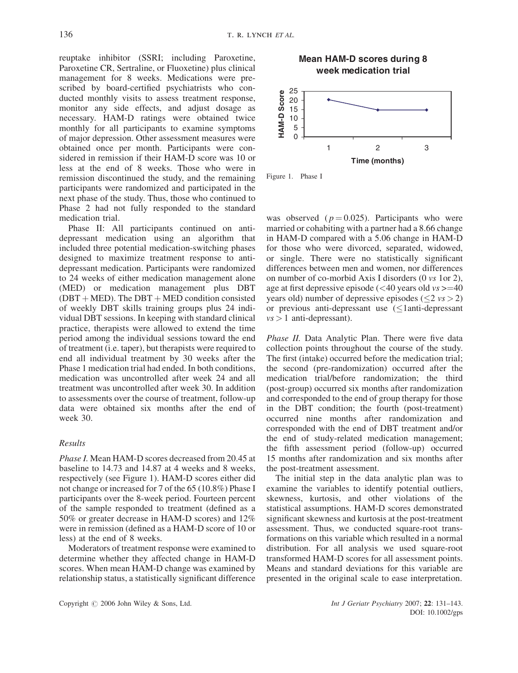reuptake inhibitor (SSRI; including Paroxetine, Paroxetine CR, Sertraline, or Fluoxetine) plus clinical management for 8 weeks. Medications were prescribed by board-certified psychiatrists who conducted monthly visits to assess treatment response, monitor any side effects, and adjust dosage as necessary. HAM-D ratings were obtained twice monthly for all participants to examine symptoms of major depression. Other assessment measures were obtained once per month. Participants were considered in remission if their HAM-D score was 10 or less at the end of 8 weeks. Those who were in remission discontinued the study, and the remaining participants were randomized and participated in the next phase of the study. Thus, those who continued to Phase 2 had not fully responded to the standard medication trial.

Phase II: All participants continued on antidepressant medication using an algorithm that included three potential medication-switching phases designed to maximize treatment response to antidepressant medication. Participants were randomized to 24 weeks of either medication management alone (MED) or medication management plus DBT  $(DBT + MED)$ . The  $DBT + MED$  condition consisted of weekly DBT skills training groups plus 24 individual DBT sessions. In keeping with standard clinical practice, therapists were allowed to extend the time period among the individual sessions toward the end of treatment (i.e. taper), but therapists were required to end all individual treatment by 30 weeks after the Phase 1 medication trial had ended. In both conditions, medication was uncontrolled after week 24 and all treatment was uncontrolled after week 30. In addition to assessments over the course of treatment, follow-up data were obtained six months after the end of week 30.

#### Results

Phase I. Mean HAM-D scores decreased from 20.45 at baseline to 14.73 and 14.87 at 4 weeks and 8 weeks, respectively (see Figure 1). HAM-D scores either did not change or increased for 7 of the 65 (10.8%) Phase I participants over the 8-week period. Fourteen percent of the sample responded to treatment (defined as a 50% or greater decrease in HAM-D scores) and 12% were in remission (defined as a HAM-D score of 10 or less) at the end of 8 weeks.

Moderators of treatment response were examined to determine whether they affected change in HAM-D scores. When mean HAM-D change was examined by relationship status, a statistically significant difference



Figure 1. Phase I

was observed ( $p = 0.025$ ). Participants who were married or cohabiting with a partner had a 8.66 change in HAM-D compared with a 5.06 change in HAM-D for those who were divorced, separated, widowed, or single. There were no statistically significant differences between men and women, nor differences on number of co-morbid Axis I disorders (0 vs 1or 2), age at first depressive episode ( $\langle 40 \rangle$  years old vs  $\geq 40$ ) years old) number of depressive episodes ( $\leq 2$  vs  $> 2$ ) or previous anti-depressant use  $(\leq 1$ anti-depressant  $vs > 1$  anti-depressant).

Phase II. Data Analytic Plan. There were five data collection points throughout the course of the study. The first (intake) occurred before the medication trial; the second (pre-randomization) occurred after the medication trial/before randomization; the third (post-group) occurred six months after randomization and corresponded to the end of group therapy for those in the DBT condition; the fourth (post-treatment) occurred nine months after randomization and corresponded with the end of DBT treatment and/or the end of study-related medication management; the fifth assessment period (follow-up) occurred 15 months after randomization and six months after the post-treatment assessment.

The initial step in the data analytic plan was to examine the variables to identify potential outliers, skewness, kurtosis, and other violations of the statistical assumptions. HAM-D scores demonstrated significant skewness and kurtosis at the post-treatment assessment. Thus, we conducted square-root transformations on this variable which resulted in a normal distribution. For all analysis we used square-root transformed HAM-D scores for all assessment points. Means and standard deviations for this variable are presented in the original scale to ease interpretation.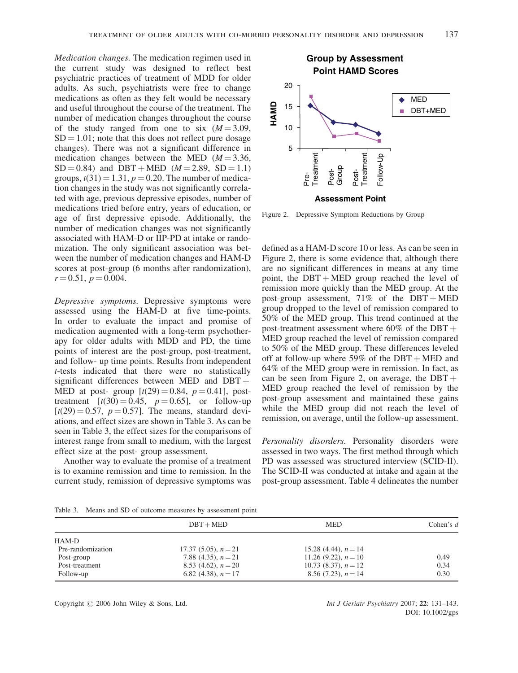Medication changes. The medication regimen used in the current study was designed to reflect best psychiatric practices of treatment of MDD for older adults. As such, psychiatrists were free to change medications as often as they felt would be necessary and useful throughout the course of the treatment. The number of medication changes throughout the course of the study ranged from one to six  $(M = 3.09$ ,  $SD = 1.01$ ; note that this does not reflect pure dosage changes). There was not a significant difference in medication changes between the MED  $(M = 3.36,$  $SD = 0.84$ ) and  $DBT + MED$  ( $M = 2.89$ ,  $SD = 1.1$ ) groups,  $t(31) = 1.31$ ,  $p = 0.20$ . The number of medication changes in the study was not significantly correlated with age, previous depressive episodes, number of medications tried before entry, years of education, or age of first depressive episode. Additionally, the number of medication changes was not significantly associated with HAM-D or IIP-PD at intake or randomization. The only significant association was between the number of medication changes and HAM-D scores at post-group (6 months after randomization),  $r = 0.51, p = 0.004.$ 

Depressive symptoms. Depressive symptoms were assessed using the HAM-D at five time-points. In order to evaluate the impact and promise of medication augmented with a long-term psychotherapy for older adults with MDD and PD, the time points of interest are the post-group, post-treatment, and follow- up time points. Results from independent t-tests indicated that there were no statistically significant differences between MED and  $DBT +$ MED at post- group  $[t(29) = 0.84, p = 0.41]$ , posttreatment  $[t(30) = 0.45, p = 0.65]$ , or follow-up  $[t(29) = 0.57, p = 0.57]$ . The means, standard deviations, and effect sizes are shown in Table 3. As can be seen in Table 3, the effect sizes for the comparisons of interest range from small to medium, with the largest effect size at the post- group assessment.

Another way to evaluate the promise of a treatment is to examine remission and time to remission. In the current study, remission of depressive symptoms was



Figure 2. Depressive Symptom Reductions by Group

defined as a HAM-D score 10 or less. As can be seen in Figure 2, there is some evidence that, although there are no significant differences in means at any time point, the  $DBT + MED$  group reached the level of remission more quickly than the MED group. At the post-group assessment,  $71\%$  of the DBT + MED group dropped to the level of remission compared to 50% of the MED group. This trend continued at the post-treatment assessment where  $60\%$  of the DBT  $+$ MED group reached the level of remission compared to 50% of the MED group. These differences leveled off at follow-up where 59% of the  $DBT + MED$  and 64% of the MED group were in remission. In fact, as can be seen from Figure 2, on average, the  $DBT +$ MED group reached the level of remission by the post-group assessment and maintained these gains while the MED group did not reach the level of remission, on average, until the follow-up assessment.

Personality disorders. Personality disorders were assessed in two ways. The first method through which PD was assessed was structured interview (SCID-II). The SCID-II was conducted at intake and again at the post-group assessment. Table 4 delineates the number

Table 3. Means and SD of outcome measures by assessment point

|                   | $DBT + MED$            | <b>MED</b>               | Cohen's $d$ |  |
|-------------------|------------------------|--------------------------|-------------|--|
| HAM-D             |                        |                          |             |  |
| Pre-randomization | 17.37 (5.05), $n = 21$ | 15.28 (4.44), $n = 14$   |             |  |
| Post-group        | 7.88 (4.35), $n = 21$  | 11.26 (9.22), $n = 10$   | 0.49        |  |
| Post-treatment    | 8.53 (4.62), $n = 20$  | 10.73 (8.37), $n = 12$   | 0.34        |  |
| Follow-up         | 6.82 (4.38), $n = 17$  | 8.56 $(7.23)$ , $n = 14$ | 0.30        |  |

Copyright  $\odot$  2006 John Wiley & Sons, Ltd. Int J Geriatr Psychiatry 2007; 22: 131–143. DOI: 10.1002/gps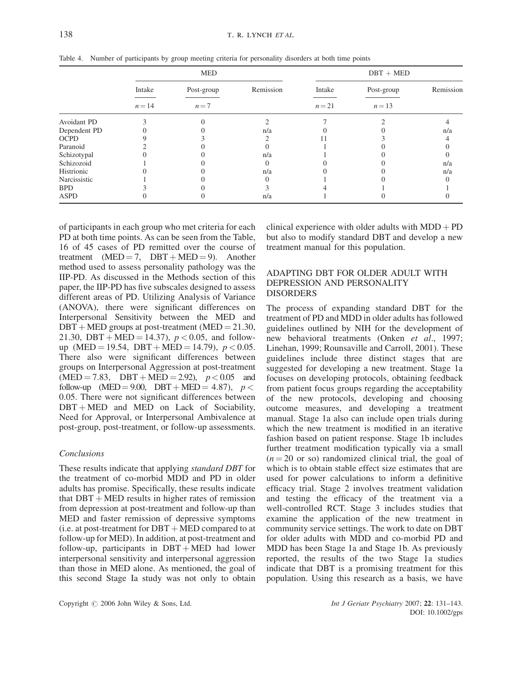|              | <b>MED</b>       |                     |           | $DBT + MED$        |                      |           |
|--------------|------------------|---------------------|-----------|--------------------|----------------------|-----------|
|              | Intake<br>$n=14$ | Post-group<br>$n=7$ | Remission | Intake<br>$n = 21$ | Post-group<br>$n=13$ | Remission |
|              |                  |                     |           |                    |                      |           |
| Avoidant PD  |                  |                     |           |                    |                      |           |
| Dependent PD |                  |                     | n/a       |                    |                      | n/a       |
| <b>OCPD</b>  |                  |                     |           |                    |                      |           |
| Paranoid     |                  |                     |           |                    |                      |           |
| Schizotypal  |                  |                     | n/a       |                    |                      |           |
| Schizozoid   |                  |                     |           |                    |                      | n/a       |
| Histrionic   |                  |                     | n/a       |                    |                      | n/a       |
| Narcissistic |                  |                     |           |                    |                      |           |
| <b>BPD</b>   |                  |                     |           |                    |                      |           |
| <b>ASPD</b>  |                  |                     | n/a       |                    |                      |           |

Table 4. Number of participants by group meeting criteria for personality disorders at both time points

of participants in each group who met criteria for each PD at both time points. As can be seen from the Table, 16 of 45 cases of PD remitted over the course of treatment (MED = 7, DBT + MED = 9). Another method used to assess personality pathology was the IIP-PD. As discussed in the Methods section of this paper, the IIP-PD has five subscales designed to assess different areas of PD. Utilizing Analysis of Variance (ANOVA), there were significant differences on Interpersonal Sensitivity between the MED and  $DBT + MED$  groups at post-treatment (MED = 21.30, 21.30, DBT + MED = 14.37),  $p < 0.05$ , and followup (MED = 19.54, DBT + MED = 14.79),  $p < 0.05$ . There also were significant differences between groups on Interpersonal Aggression at post-treatment  $(MED = 7.83, DBT + MED = 2.92), p < 0.05$  and follow-up (MED = 9.00, DBT + MED = 4.87),  $p <$ 0.05. There were not significant differences between  $DBT + MED$  and MED on Lack of Sociability, Need for Approval, or Interpersonal Ambivalence at post-group, post-treatment, or follow-up assessments.

#### Conclusions

These results indicate that applying standard DBT for the treatment of co-morbid MDD and PD in older adults has promise. Specifically, these results indicate that  $DBT + MED$  results in higher rates of remission from depression at post-treatment and follow-up than MED and faster remission of depressive symptoms (i.e. at post-treatment for  $DBT + MED$  compared to at follow-up for MED). In addition, at post-treatment and follow-up, participants in  $DBT + MED$  had lower interpersonal sensitivity and interpersonal aggression than those in MED alone. As mentioned, the goal of this second Stage Ia study was not only to obtain

clinical experience with older adults with  $MDD + PD$ but also to modify standard DBT and develop a new treatment manual for this population.

## ADAPTING DBT FOR OLDER ADULT WITH DEPRESSION AND PERSONALITY DISORDERS

The process of expanding standard DBT for the treatment of PD and MDD in older adults has followed guidelines outlined by NIH for the development of new behavioral treatments (Onken et al., 1997; Linehan, 1999; Rounsaville and Carroll, 2001). These guidelines include three distinct stages that are suggested for developing a new treatment. Stage 1a focuses on developing protocols, obtaining feedback from patient focus groups regarding the acceptability of the new protocols, developing and choosing outcome measures, and developing a treatment manual. Stage 1a also can include open trials during which the new treatment is modified in an iterative fashion based on patient response. Stage 1b includes further treatment modification typically via a small  $(n = 20$  or so) randomized clinical trial, the goal of which is to obtain stable effect size estimates that are used for power calculations to inform a definitive efficacy trial. Stage 2 involves treatment validation and testing the efficacy of the treatment via a well-controlled RCT. Stage 3 includes studies that examine the application of the new treatment in community service settings. The work to date on DBT for older adults with MDD and co-morbid PD and MDD has been Stage 1a and Stage 1b. As previously reported, the results of the two Stage 1a studies indicate that DBT is a promising treatment for this population. Using this research as a basis, we have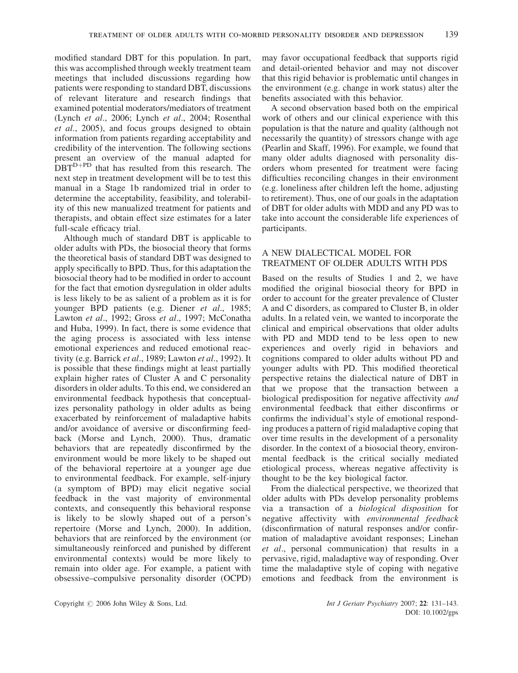modified standard DBT for this population. In part, this was accomplished through weekly treatment team meetings that included discussions regarding how patients were responding to standard DBT, discussions of relevant literature and research findings that examined potential moderators/mediators of treatment (Lynch et al., 2006; Lynch et al., 2004; Rosenthal et al., 2005), and focus groups designed to obtain information from patients regarding acceptability and credibility of the intervention. The following sections present an overview of the manual adapted for  $\overline{DBT}^{D+PD}$  that has resulted from this research. The next step in treatment development will be to test this manual in a Stage 1b randomized trial in order to determine the acceptability, feasibility, and tolerability of this new manualized treatment for patients and therapists, and obtain effect size estimates for a later full-scale efficacy trial.

Although much of standard DBT is applicable to older adults with PDs, the biosocial theory that forms the theoretical basis of standard DBT was designed to apply specifically to BPD. Thus, for this adaptation the biosocial theory had to be modified in order to account for the fact that emotion dysregulation in older adults is less likely to be as salient of a problem as it is for younger BPD patients (e.g. Diener et al., 1985; Lawton et al., 1992; Gross et al., 1997; McConatha and Huba, 1999). In fact, there is some evidence that the aging process is associated with less intense emotional experiences and reduced emotional reactivity (e.g. Barrick et al., 1989; Lawton et al., 1992). It is possible that these findings might at least partially explain higher rates of Cluster A and C personality disorders in older adults. To this end, we considered an environmental feedback hypothesis that conceptualizes personality pathology in older adults as being exacerbated by reinforcement of maladaptive habits and/or avoidance of aversive or disconfirming feedback (Morse and Lynch, 2000). Thus, dramatic behaviors that are repeatedly disconfirmed by the environment would be more likely to be shaped out of the behavioral repertoire at a younger age due to environmental feedback. For example, self-injury (a symptom of BPD) may elicit negative social feedback in the vast majority of environmental contexts, and consequently this behavioral response is likely to be slowly shaped out of a person's repertoire (Morse and Lynch, 2000). In addition, behaviors that are reinforced by the environment (or simultaneously reinforced and punished by different environmental contexts) would be more likely to remain into older age. For example, a patient with obsessive–compulsive personality disorder (OCPD) may favor occupational feedback that supports rigid and detail-oriented behavior and may not discover that this rigid behavior is problematic until changes in the environment (e.g. change in work status) alter the benefits associated with this behavior.

A second observation based both on the empirical work of others and our clinical experience with this population is that the nature and quality (although not necessarily the quantity) of stressors change with age (Pearlin and Skaff, 1996). For example, we found that many older adults diagnosed with personality disorders whom presented for treatment were facing difficulties reconciling changes in their environment (e.g. loneliness after children left the home, adjusting to retirement). Thus, one of our goals in the adaptation of DBT for older adults with MDD and any PD was to take into account the considerable life experiences of participants.

#### A NEW DIALECTICAL MODEL FOR TREATMENT OF OLDER ADULTS WITH PDS

Based on the results of Studies 1 and 2, we have modified the original biosocial theory for BPD in order to account for the greater prevalence of Cluster A and C disorders, as compared to Cluster B, in older adults. In a related vein, we wanted to incorporate the clinical and empirical observations that older adults with PD and MDD tend to be less open to new experiences and overly rigid in behaviors and cognitions compared to older adults without PD and younger adults with PD. This modified theoretical perspective retains the dialectical nature of DBT in that we propose that the transaction between a biological predisposition for negative affectivity and environmental feedback that either disconfirms or confirms the individual's style of emotional responding produces a pattern of rigid maladaptive coping that over time results in the development of a personality disorder. In the context of a biosocial theory, environmental feedback is the critical socially mediated etiological process, whereas negative affectivity is thought to be the key biological factor.

From the dialectical perspective, we theorized that older adults with PDs develop personality problems via a transaction of a biological disposition for negative affectivity with environmental feedback (disconfirmation of natural responses and/or confirmation of maladaptive avoidant responses; Linehan et al., personal communication) that results in a pervasive, rigid, maladaptive way of responding. Over time the maladaptive style of coping with negative emotions and feedback from the environment is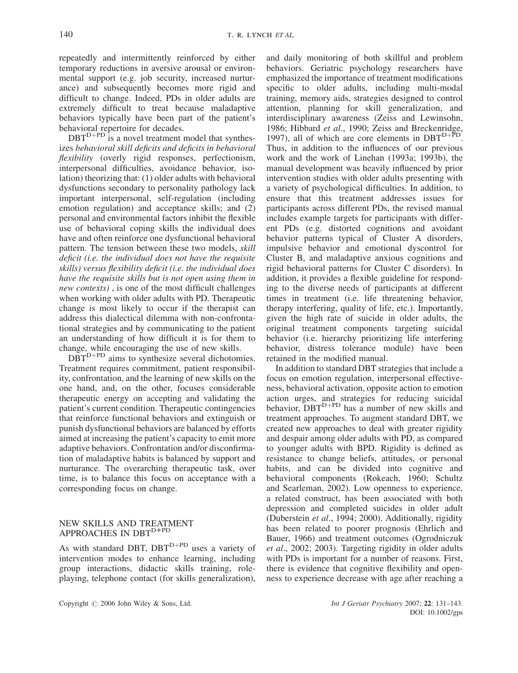repeatedly and intermittently reinforced by either temporary reductions in aversive arousal or environmental support (e.g. job security, increased nurturance) and subsequently becomes more rigid and difficult to change. Indeed, PDs in older adults are extremely difficult to treat because maladaptive behaviors typically have been part of the patient's behavioral repertoire for decades.

 $DBT^{D+PD}$  is a novel treatment model that synthesizes behavioral skill deficits and deficits in behavioral flexibility (overly rigid responses, perfectionism, interpersonal difficulties, avoidance behavior, isolation) theorizing that: (1) older adults with behavioral dysfunctions secondary to personality pathology lack important interpersonal, self-regulation (including emotion regulation) and acceptance skills; and (2) personal and environmental factors inhibit the flexible use of behavioral coping skills the individual does have and often reinforce one dysfunctional behavioral pattern. The tension between these two models, skill deficit (i.e. the individual does not have the requisite skills) versus flexibility deficit (i.e. the individual does have the requisite skills but is not open using them in new contexts), is one of the most difficult challenges when working with older adults with PD. Therapeutic change is most likely to occur if the therapist can address this dialectical dilemma with non-confrontational strategies and by communicating to the patient an understanding of how difficult it is for them to change, while encouraging the use of new skills.

 $DBT^{D+PD}$  aims to synthesize several dichotomies. Treatment requires commitment, patient responsibility, confrontation, and the learning of new skills on the one hand, and, on the other, focuses considerable therapeutic energy on accepting and validating the patient's current condition. Therapeutic contingencies that reinforce functional behaviors and extinguish or punish dysfunctional behaviors are balanced by efforts aimed at increasing the patient's capacity to emit more adaptive behaviors. Confrontation and/or disconfirmation of maladaptive habits is balanced by support and nurturance. The overarching therapeutic task, over time, is to balance this focus on acceptance with a corresponding focus on change.

## NEW SKILLS AND TREATMENT APPROACHES IN DBT<sup>D+PD</sup>

As with standard DBT,  $DBT^{D+PD}$  uses a variety of intervention modes to enhance learning, including group interactions, didactic skills training, roleplaying, telephone contact (for skills generalization), and daily monitoring of both skillful and problem behaviors. Geriatric psychology researchers have emphasized the importance of treatment modifications specific to older adults, including multi-modal training, memory aids, strategies designed to control attention, planning for skill generalization, and interdisciplinary awareness (Zeiss and Lewinsohn, 1986; Hibbard et al., 1990; Zeiss and Breckenridge, 1997), all of which are core elements in  $DBT^{D+PD}$ . Thus, in addition to the influences of our previous work and the work of Linehan (1993a; 1993b), the manual development was heavily influenced by prior intervention studies with older adults presenting with a variety of psychological difficulties. In addition, to ensure that this treatment addresses issues for participants across different PDs, the revised manual includes example targets for participants with different PDs (e.g. distorted cognitions and avoidant behavior patterns typical of Cluster A disorders, impulsive behavior and emotional dyscontrol for Cluster B, and maladaptive anxious cognitions and rigid behavioral patterns for Cluster C disorders). In addition, it provides a flexible guideline for responding to the diverse needs of participants at different times in treatment (i.e. life threatening behavior, therapy interfering, quality of life, etc.). Importantly, given the high rate of suicide in older adults, the original treatment components targeting suicidal behavior (i.e. hierarchy prioritizing life interfering behavior, distress tolerance module) have been retained in the modified manual.

In addition to standard DBT strategies that include a focus on emotion regulation, interpersonal effectiveness, behavioral activation, opposite action to emotion action urges, and strategies for reducing suicidal behavior,  $DBT^{D+PD}$  has a number of new skills and treatment approaches. To augment standard DBT, we created new approaches to deal with greater rigidity and despair among older adults with PD, as compared to younger adults with BPD. Rigidity is defined as resistance to change beliefs, attitudes, or personal habits, and can be divided into cognitive and behavioral components (Rokeach, 1960; Schultz and Searleman, 2002). Low openness to experience, a related construct, has been associated with both depression and completed suicides in older adult (Duberstein et al., 1994; 2000). Additionally, rigidity has been related to poorer prognosis (Ehrlich and Bauer, 1966) and treatment outcomes (Ogrodniczuk et al., 2002; 2003). Targeting rigidity in older adults with PDs is important for a number of reasons. First, there is evidence that cognitive flexibility and openness to experience decrease with age after reaching a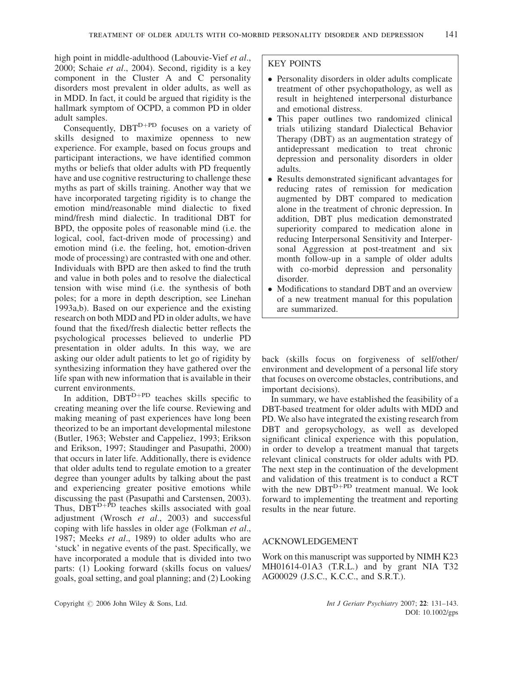high point in middle-adulthood (Labouvie-Vief et al., 2000; Schaie et al., 2004). Second, rigidity is a key component in the Cluster A and C personality disorders most prevalent in older adults, as well as in MDD. In fact, it could be argued that rigidity is the hallmark symptom of OCPD, a common PD in older adult samples.

Consequently,  $DBT^{D+PD}$  focuses on a variety of skills designed to maximize openness to new experience. For example, based on focus groups and participant interactions, we have identified common myths or beliefs that older adults with PD frequently have and use cognitive restructuring to challenge these myths as part of skills training. Another way that we have incorporated targeting rigidity is to change the emotion mind/reasonable mind dialectic to fixed mind/fresh mind dialectic. In traditional DBT for BPD, the opposite poles of reasonable mind (i.e. the logical, cool, fact-driven mode of processing) and emotion mind (i.e. the feeling, hot, emotion-driven mode of processing) are contrasted with one and other. Individuals with BPD are then asked to find the truth and value in both poles and to resolve the dialectical tension with wise mind (i.e. the synthesis of both poles; for a more in depth description, see Linehan 1993a,b). Based on our experience and the existing research on both MDD and PD in older adults, we have found that the fixed/fresh dialectic better reflects the psychological processes believed to underlie PD presentation in older adults. In this way, we are asking our older adult patients to let go of rigidity by synthesizing information they have gathered over the life span with new information that is available in their current environments.

In addition,  $DBT^{D+PD}$  teaches skills specific to creating meaning over the life course. Reviewing and making meaning of past experiences have long been theorized to be an important developmental milestone (Butler, 1963; Webster and Cappeliez, 1993; Erikson and Erikson, 1997; Staudinger and Pasupathi, 2000) that occurs in later life. Additionally, there is evidence that older adults tend to regulate emotion to a greater degree than younger adults by talking about the past and experiencing greater positive emotions while discussing the past (Pasupathi and Carstensen, 2003). Thus,  $\overrightarrow{DBT}^{D+PD}$  teaches skills associated with goal adjustment (Wrosch et al., 2003) and successful coping with life hassles in older age (Folkman et al., 1987; Meeks et al., 1989) to older adults who are 'stuck' in negative events of the past. Specifically, we have incorporated a module that is divided into two parts: (1) Looking forward (skills focus on values/ goals, goal setting, and goal planning; and (2) Looking

# KEY POINTS

- Personality disorders in older adults complicate treatment of other psychopathology, as well as result in heightened interpersonal disturbance and emotional distress.
- This paper outlines two randomized clinical trials utilizing standard Dialectical Behavior Therapy (DBT) as an augmentation strategy of antidepressant medication to treat chronic depression and personality disorders in older adults.
- Results demonstrated significant advantages for reducing rates of remission for medication augmented by DBT compared to medication alone in the treatment of chronic depression. In addition, DBT plus medication demonstrated superiority compared to medication alone in reducing Interpersonal Sensitivity and Interpersonal Aggression at post-treatment and six month follow-up in a sample of older adults with co-morbid depression and personality disorder.
- Modifications to standard DBT and an overview of a new treatment manual for this population are summarized.

back (skills focus on forgiveness of self/other/ environment and development of a personal life story that focuses on overcome obstacles, contributions, and important decisions).

In summary, we have established the feasibility of a DBT-based treatment for older adults with MDD and PD. We also have integrated the existing research from DBT and geropsychology, as well as developed significant clinical experience with this population, in order to develop a treatment manual that targets relevant clinical constructs for older adults with PD. The next step in the continuation of the development and validation of this treatment is to conduct a RCT with the new  $DBT^{D+PD}$  treatment manual. We look forward to implementing the treatment and reporting results in the near future.

## ACKNOWLEDGEMENT

Work on this manuscript was supported by NIMH K23 MH01614-01A3 (T.R.L.) and by grant NIA T32 AG00029 (J.S.C., K.C.C., and S.R.T.).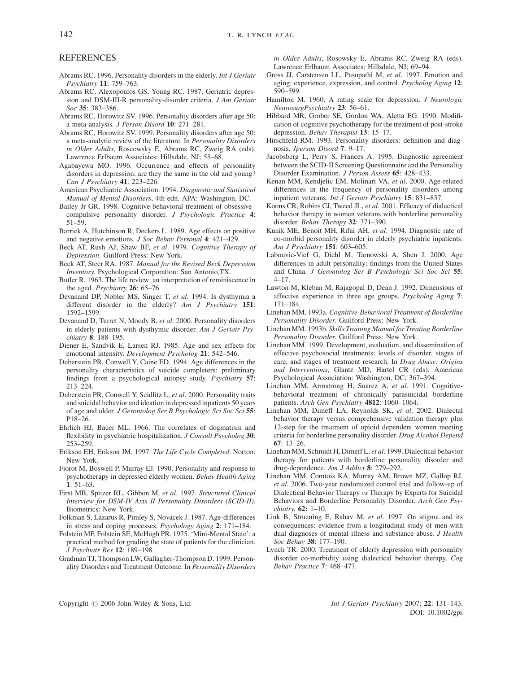#### REFERENCES

- Abrams RC. 1996. Personality disorders in the elderly. Int J Geriatr Psychiatry 11: 759–763.
- Abrams RC, Alexopoulos GS, Young RC. 1987. Geriatric depression and DSM-III-R personality-disorder criteria. J Am Geriatr Soc 35: 383-386.
- Abrams RC, Horowitz SV. 1996. Personality disorders after age 50: a meta-analysis. J Person Disord 10: 271–281.
- Abrams RC, Horowitz SV. 1999. Personality disorders after age 50: a meta-analytic review of the literature. In Personality Disorders in Older Adults, Roscowsky E, Abrams RC, Zweig RA (eds). Lawrence Erlbaum Associates: Hillsdale, NJ; 55–68.
- Agabayewa MO. 1996. Occurrence and effects of personality disorders in depression: are they the same in the old and young? Can J Psychiatry 41: 223–226.
- American Psychiatric Association. 1994. Diagnostic and Statistical Manual of Mental Disorders, 4th edn. APA: Washington, DC.
- Bailey Jr GR. 1998. Cognitive-behavioral treatment of obsessive– compulsive personality disorder. J Psychologic Practice 4: 51–59.
- Barrick A, Hutchinson R, Deckers L. 1989. Age effects on positive and negative emotions. J Soc Behav Personal 4: 421–429.
- Beck AT, Rush AJ, Shaw BF, et al. 1979. Cognitive Therapy of Depression. Guilford Press: New York.
- Beck AT, Steer RA. 1987. Manual for the Revised Beck Depression Inventory. Psychological Corporation: San Antonio,TX.
- Butler R. 1963. The life review: an interpretation of reminiscence in the aged. Psychiatry 26: 65–76.
- Devanand DP, Nobler MS, Singer T, et al. 1994. Is dysthymia a different disorder in the elderly? Am J Psychiatry 151: 1592–1599.
- Devanand D, Turret N, Moody B, et al. 2000. Personality disorders in elderly patients with dysthymic disorder. Am J Geriatr Psychiatry 8: 188–195.
- Diener E, Sandvik E, Larsen RJ. 1985. Age and sex effects for emotional intensity. Development Psycholog 21: 542–546.
- Duberstein PR, Conwell Y, Caine ED. 1994. Age differences in the personality characteristics of suicide completers: preliminary findings from a psychological autopsy study. Psychiatry 57: 213–224.
- Duberstein PR, Conwell Y, Seidlitz L, et al. 2000. Personality traits and suicidal behavior and ideation in depressed inpatients 50 years of age and older. J Gerontolog Ser B Psychologic Sci Soc Sci 55: P18–26.
- Ehrlich HJ, Bauer ML. 1966. The correlates of dogmatism and flexibility in psychiatric hospitalization. J Consult Psycholog 30: 253–259.
- Erikson EH, Erikson JM. 1997. The Life Cycle Completed. Norton: New York.
- Fiorot M, Boswell P, Murray EJ. 1990. Personality and response to psychotherapy in depressed elderly women. Behav Health Aging  $1: 51–63$ .
- First MB, Spitzer RL, Gibbon M, et al. 1997. Structured Clinical Interview for DSM-IV Axis II Personality Disorders (SCID-II). Biometrics: New York.
- Folkman S, Lazarus R, Pimley S, Novacek J. 1987. Age-differences in stress and coping processes. Psychology Aging 2: 171–184.
- Folstein MF, Folstein SE, McHugh PR. 1975. 'Mini-Mental State': a practical method for grading the state of patients for the clinician. J Psychiatr Res 12: 189–198.
- Gradman TJ, Thompson LW, Gallagher-Thompson D. 1999. Personality Disorders and Treatment Outcome. In Personality Disorders

in Older Adults, Rosowsky E, Abrams RC, Zweig RA (eds). Lawrence Erlbaum Associates: Hillsdale, NJ; 69–94.

- Gross JJ, Carstensen LL, Pasupathi M, et al. 1997. Emotion and aging: experience, expression, and control. Psycholog Aging 12: 590–599.
- Hamilton M. 1960. A rating scale for depression. J Neurologic NeurosurgPsychiatry 23: 56–61.
- Hibbard MR, Grober SE, Gordon WA, Aletta EG. 1990. Modification of cognitive psychotherapy for the treatment of post-stroke depression. Behav Therapist 13: 15–17.
- Hirschfeld RM. 1993. Personality disorders: definition and diagnosis. Jperson Disord 7: 9–17.
- Jacobsberg L, Perry S, Frances A. 1995. Diagnostic agreement between the SCID-II Screening Questionnaire and the Personality Disorder Examination. J Person Assess 65: 428–433.
- Kenan MM, Kendjelic EM, Molinari VA, et al. 2000. Age-related differences in the frequency of personality disorders among inpatient veterans. Int J Geriatr Psychiatry 15: 831–837.
- Koons CR, Robins CJ, Tweed JL, et al. 2001. Efficacy of dialectical behavior therapy in women veterans with borderline personality disorder. Behav Therapy 32: 371–390.
- Kunik ME, Benoit MH, Rifai AH, et al. 1994. Diagnostic rate of co-morbid personality disorder in elderly psychiatric inpatients. Am J Psychiatry 151: 603–605.
- Labouvie-Vief G, Diehl M, Tarnowski A, Shen J. 2000. Age differences in adult personality: findings from the United States and China. J Gerontolog Ser B Psychologic Sci Soc Sci 55: 4–17.
- Lawton M, Kleban M, Rajagopal D, Dean J. 1992. Dimensions of affective experience in three age groups. Psycholog Aging 7: 171–184.
- Linehan MM. 1993a. Cognitive-Behavioral Treatment of Borderline Personality Disorder. Guilford Press: New York.
- Linehan MM. 1993b. Skills Training Manual for Treating Borderline Personality Disorder. Guilford Press: New York.
- Linehan MM. 1999. Development, evaluation, and dissemination of effective psychosocial treatments: levels of disorder, stages of care, and stages of treatment research. In Drug Abuse: Origins and Interventions, Glantz MD, Hartel CR (eds). American Psychological Association: Washington, DC; 367–394.
- Linehan MM, Armstrong H, Suarez A, et al. 1991. Cognitivebehavioral treatment of chronically parasuicidal borderline patients. Arch Gen Psychiatry 4812: 1060–1064.
- Linehan MM, Dimeff LA, Reynolds SK, et al. 2002. Dialectal behavior therapy versus comprehensive validation therapy plus 12-step for the treatment of opioid dependent women meeting criteria for borderline personality disorder. Drug Alcohol Depend 67: 13–26.
- Linehan MM, Schmidt H, Dimeff L, et al. 1999. Dialectical behavior therapy for patients with borderline personality disorder and drug-dependence. Am J Addict 8: 279–292.
- Linehan MM, Comtois KA, Murray AM, Brown MZ, Gallop RJ, et al. 2006. Two-year randomized control trial and follow-up of Dialectical Behavior Therapy vs Therapy by Experts for Suicidal Behaviors and Borderline Personality Disorder. Arch Gen Psychiatry, **62:** 1-10.
- Link B, Struening E, Rahav M, et al. 1997. On stigma and its consequences: evidence from a longitudinal study of men with dual diagnoses of mental illness and substance abuse. J Health Soc Behav 38: 177-190.
- Lynch TR. 2000. Treatment of elderly depression with personality disorder co-morbidity using dialectical behavior therapy. Cog Behav Practice 7: 468–477.

Copyright  $\odot$  2006 John Wiley & Sons, Ltd. Int J Geriatr Psychiatry 2007; 22: 131–143.

DOI: 10.1002/gps